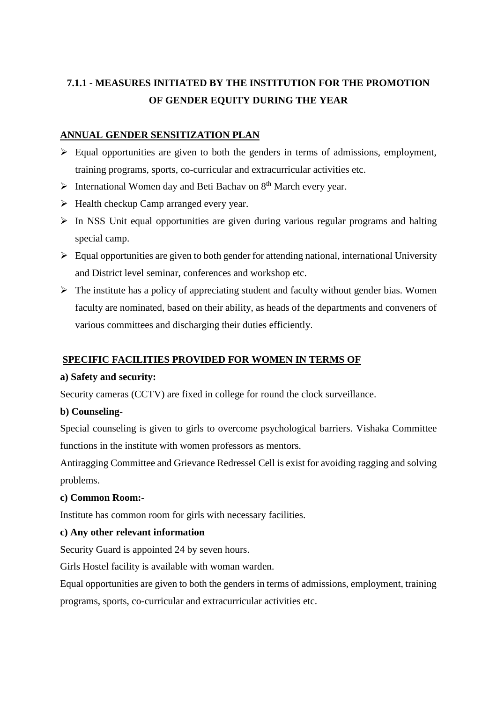# **7.1.1 - MEASURES INITIATED BY THE INSTITUTION FOR THE PROMOTION OF GENDER EQUITY DURING THE YEAR**

# **ANNUAL GENDER SENSITIZATION PLAN**

- $\triangleright$  Equal opportunities are given to both the genders in terms of admissions, employment, training programs, sports, co-curricular and extracurricular activities etc.
- $\triangleright$  International Women day and Beti Bachav on  $8<sup>th</sup>$  March every year.
- $\triangleright$  Health checkup Camp arranged every year.
- $\triangleright$  In NSS Unit equal opportunities are given during various regular programs and halting special camp.
- $\triangleright$  Equal opportunities are given to both gender for attending national, international University and District level seminar, conferences and workshop etc.
- $\triangleright$  The institute has a policy of appreciating student and faculty without gender bias. Women faculty are nominated, based on their ability, as heads of the departments and conveners of various committees and discharging their duties efficiently.

# **SPECIFIC FACILITIES PROVIDED FOR WOMEN IN TERMS OF**

### **a) Safety and security:**

Security cameras (CCTV) are fixed in college for round the clock surveillance.

### **b) Counseling-**

Special counseling is given to girls to overcome psychological barriers. Vishaka Committee functions in the institute with women professors as mentors.

Antiragging Committee and Grievance Redressel Cell is exist for avoiding ragging and solving problems.

### **c) Common Room:-**

Institute has common room for girls with necessary facilities.

### **c) Any other relevant information**

Security Guard is appointed 24 by seven hours.

Girls Hostel facility is available with woman warden.

Equal opportunities are given to both the genders in terms of admissions, employment, training programs, sports, co-curricular and extracurricular activities etc.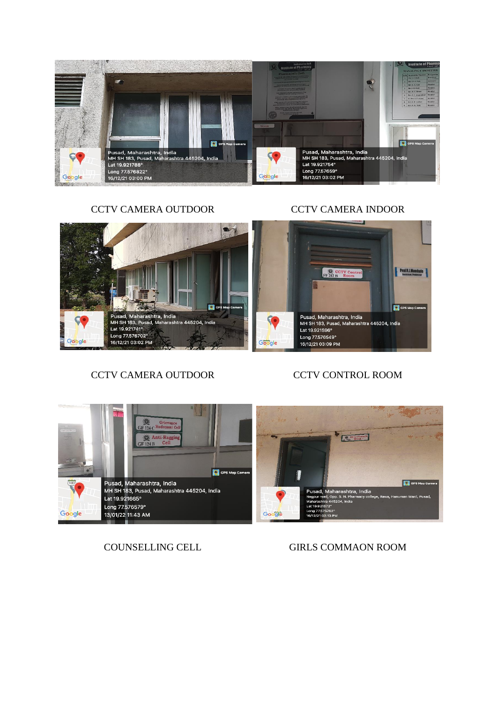

CCTV CAMERA OUTDOOR CCTV CAMERA INDOOR



# CCTV CAMERA OUTDOOR CCTV CONTROL ROOM



COUNSELLING CELL GIRLS COMMAON ROOM